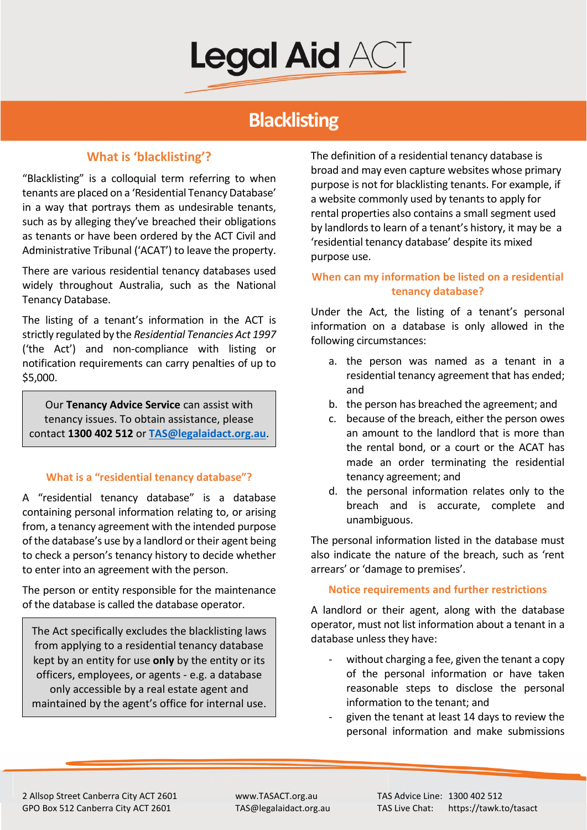

# **Blacklisting**

# **What is 'blacklisting'?**

"Blacklisting" is a colloquial term referring to when tenants are placed on a 'Residential Tenancy Database' in a way that portrays them as undesirable tenants, such as by alleging they've breached their obligations as tenants or have been ordered by the ACT Civil and Administrative Tribunal ('ACAT') to leave the property.

There are various residential tenancy databases used widely throughout Australia, such as the National Tenancy Database.

The listing of a tenant's information in the ACT is strictly regulated by the *Residential Tenancies Act 1997*  ('the Act') and non-compliance with listing or notification requirements can carry penalties of up to \$5,000.

Our **Tenancy Advice Service** can assist with tenancy issues. To obtain assistance, please contact **1300 402 512** or **[TAS@legalaidact.org.au](mailto:TAS@legalaidact.org.au)**.

## **What is a "residential tenancy database"?**

A "residential tenancy database" is a database containing personal information relating to, or arising from, a tenancy agreement with the intended purpose of the database's use by a landlord or their agent being to check a person's tenancy history to decide whether to enter into an agreement with the person.

The person or entity responsible for the maintenance of the database is called the database operator.

The Act specifically excludes the blacklisting laws from applying to a residential tenancy database kept by an entity for use **only** by the entity or its officers, employees, or agents - e.g. a database only accessible by a real estate agent and maintained by the agent's office for internal use.

The definition of a residential tenancy database is broad and may even capture websites whose primary purpose is not for blacklisting tenants. For example, if a website commonly used by tenants to apply for rental properties also contains a small segment used by landlords to learn of a tenant's history, it may be a 'residential tenancy database' despite its mixed purpose use.

# **When can my information be listed on a residential tenancy database?**

Under the Act, the listing of a tenant's personal information on a database is only allowed in the following circumstances:

- a. the person was named as a tenant in a residential tenancy agreement that has ended; and
- b. the person has breached the agreement; and
- c. because of the breach, either the person owes an amount to the landlord that is more than the rental bond, or a court or the ACAT has made an order terminating the residential tenancy agreement; and
- d. the personal information relates only to the breach and is accurate, complete and unambiguous.

The personal information listed in the database must also indicate the nature of the breach, such as 'rent arrears' or 'damage to premises'.

#### **Notice requirements and further restrictions**

A landlord or their agent, along with the database operator, must not list information about a tenant in a database unless they have:

- without charging a fee, given the tenant a copy of the personal information or have taken reasonable steps to disclose the personal information to the tenant; and
- given the tenant at least 14 days to review the personal information and make submissions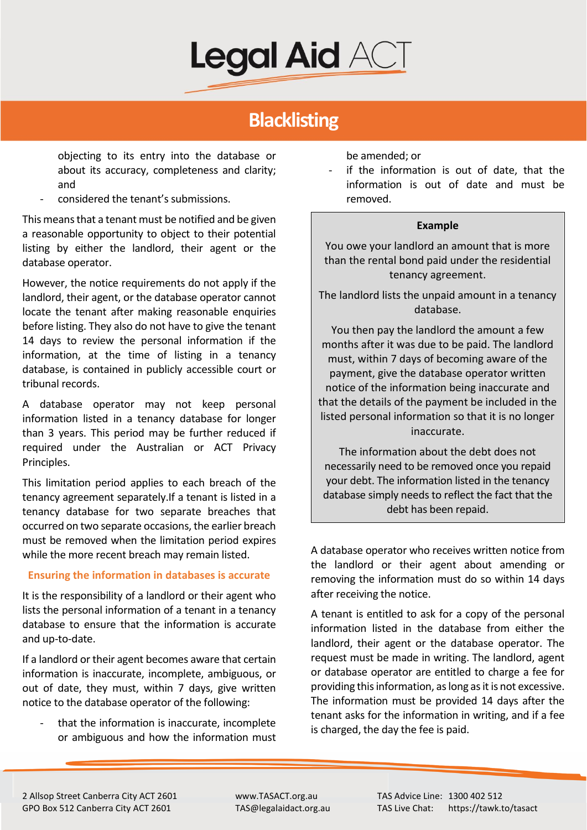

# **Blacklisting**

objecting to its entry into the database or about its accuracy, completeness and clarity; and

- considered the tenant's submissions.

This means that a tenant must be notified and be given a reasonable opportunity to object to their potential listing by either the landlord, their agent or the database operator.

However, the notice requirements do not apply if the landlord, their agent, or the database operator cannot locate the tenant after making reasonable enquiries before listing. They also do not have to give the tenant 14 days to review the personal information if the information, at the time of listing in a tenancy database, is contained in publicly accessible court or tribunal records.

A database operator may not keep personal information listed in a tenancy database for longer than 3 years. This period may be further reduced if required under the Australian or ACT Privacy Principles.

This limitation period applies to each breach of the tenancy agreement separately.If a tenant is listed in a tenancy database for two separate breaches that occurred on two separate occasions, the earlier breach must be removed when the limitation period expires while the more recent breach may remain listed.

#### **Ensuring the information in databases is accurate**

It is the responsibility of a landlord or their agent who lists the personal information of a tenant in a tenancy database to ensure that the information is accurate and up-to-date.

If a landlord or their agent becomes aware that certain information is inaccurate, incomplete, ambiguous, or out of date, they must, within 7 days, give written notice to the database operator of the following:

that the information is inaccurate, incomplete or ambiguous and how the information must be amended; or

if the information is out of date, that the information is out of date and must be removed.

#### **Example**

You owe your landlord an amount that is more than the rental bond paid under the residential tenancy agreement.

The landlord lists the unpaid amount in a tenancy database.

You then pay the landlord the amount a few months after it was due to be paid. The landlord must, within 7 days of becoming aware of the payment, give the database operator written notice of the information being inaccurate and that the details of the payment be included in the listed personal information so that it is no longer inaccurate.

The information about the debt does not necessarily need to be removed once you repaid your debt. The information listed in the tenancy database simply needs to reflect the fact that the debt has been repaid.

A database operator who receives written notice from the landlord or their agent about amending or removing the information must do so within 14 days after receiving the notice.

A tenant is entitled to ask for a copy of the personal information listed in the database from either the landlord, their agent or the database operator. The request must be made in writing. The landlord, agent or database operator are entitled to charge a fee for providing this information, as long as it is not excessive. The information must be provided 14 days after the tenant asks for the information in writing, and if a fee is charged, the day the fee is paid.